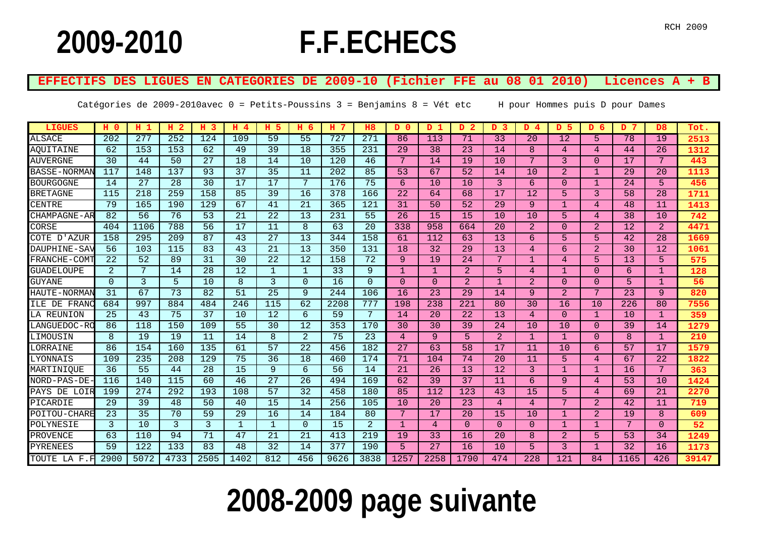## **2008-2009 page suivante**

| <b>LIGUES</b>       | н<br>-0  | н               | н    | н<br>3 | н    | н<br>5       | н<br>6   | н<br>7 | H <sub>8</sub> | $\Omega$<br>D. | D        | 2<br>D.  | D<br>з         | D              | D              | D<br>6         | D              | D <sub>8</sub> | Tot.  |
|---------------------|----------|-----------------|------|--------|------|--------------|----------|--------|----------------|----------------|----------|----------|----------------|----------------|----------------|----------------|----------------|----------------|-------|
| <b>ALSACE</b>       | 202      | 277             | 252  | 124    | 109  | 59           | 55       | 727    | 271            | 86             | 113      | 71       | 33             | 20             | 12             | 5              | 78             | 19             | 2513  |
| AQUITAINE           | 62       | 153             | 153  | 62     | 49   | 39           | 18       | 355    | 231            | 29             | 38       | 23       | 14             | 8              | 4              | 4              | 44             | 26             | 1312  |
| <b>AUVERGNE</b>     | 30       | 44              | 50   | 27     | 18   | 14           | 10       | 120    | 46             | 7              | 14       | 19       | 10             | 7              | 3              | $\Omega$       | 17             | 7              | 443   |
| <b>BASSE-NORMAL</b> | 117      | 148             | 137  | 93     | 37   | 35           | 11       | 202    | 85             | 53             | 67       | 52       | 14             | 10             | $\overline{2}$ | $\mathbf{1}$   | 29             | 20             | 1113  |
| <b>BOURGOGNE</b>    | 14       | 27              | 28   | 30     | 17   | 17           | 7        | 176    | 75             | 6              | 10       | 10       | $\overline{3}$ | 6              | $\Omega$       | $\mathbf{1}$   | 24             | 5              | 456   |
| <b>BRETAGNE</b>     | 115      | 218             | 259  | 158    | 85   | 39           | 16       | 378    | 166            | 22             | 64       | 68       | 17             | 12             | 5              | 3              | 58             | 28             | 1711  |
| <b>CENTRE</b>       | 79       | 165             | 190  | 129    | 67   | 41           | 21       | 365    | 121            | 31             | 50       | 52       | 29             | 9              | -1             | $\overline{4}$ | 48             | 11             | 1413  |
| CHAMPAGNE-AR        | 82       | 56              | 76   | 53     | 21   | 22           | 13       | 231    | 55             | 26             | 15       | 15       | 10             | 10             | 5.             | 4              | 38             | 10             | 742   |
| <b>CORSE</b>        | 404      | 1106            | 788  | 56     | 17   | 11           | 8        | 63     | 20             | 338            | 958      | 664      | 20             | $\overline{2}$ | $\Omega$       | 2              | 12             | 2              | 4471  |
| COTE D'AZUR         | 158      | 295             | 209  | 87     | 43   | 27           | 13       | 344    | 158            | 61             | 112      | 63       | 13             | 6              | 5              | 5              | 42             | 28             | 1669  |
| DAUPHINE-SA         | 56       | 103             | 115  | 83     | 43   | 21           | 13       | 350    | 131            | 18             | 32       | 29       | 13             | 4              | 6              | 2              | 30             | 12             | 1061  |
| FRANCHE-COMT        | 22       | 52              | 89   | 31     | 30   | 22           | 12       | 158    | 72             | $\overline{9}$ | 19       | 24       | 7              | $\mathbf{1}$   | 4              | 5 <sup>5</sup> | 13             | 5              | 575   |
| <b>GUADELOUPE</b>   | 2        | $7\phantom{.0}$ | 14   | 28     | 12   | $\mathbf{1}$ | -1       | 33     | 9              | $\mathbf{1}$   |          | 2        | 5              | 4              | $\mathbf{1}$   | $\Omega$       | 6              | $\mathbf{1}$   | 128   |
| <b>GUYANE</b>       | $\Omega$ | 3               | 5    | 10     | 8    | 3            | $\Omega$ | 16     | $\Omega$       | $\Omega$       | $\Omega$ | 2        | $\mathbf{1}$   | 2              | $\Omega$       | $\Omega$       | $\overline{5}$ | $\mathbf{1}$   | 56    |
| HAUTE-NORMAN        | 31       | 67              | 73   | 82     | 51   | 25           | 9        | 244    | 106            | 16             | 23       | 29       | 14             | 9              | $\overline{2}$ | 7              | 23             | 9              | 820   |
| <b>ILE DE FRAN</b>  | 684      | 997             | 884  | 484    | 246  | 115          | 62       | 2208   | 777            | 198            | 238      | 221      | 80             | 30             | 16             | 10             | 226            | 80             | 7556  |
| LA REUNION          | 25       | 43              | 75   | 37     | 10   | 12           | 6        | 59     | 7              | 14             | 20       | 22       | 13             | $\overline{4}$ | $\Omega$       | 1              | 10             | $\mathbf{1}$   | 359   |
| LANGUEDOC-RO        | 86       | 118             | 150  | 109    | 55   | 30           | 12       | 353    | 170            | 30             | 30       | 39       | 24             | 10             | 10             | $\Omega$       | 39             | 14             | 1279  |
| LIMOUSIN            | 8        | 19              | 19   | 11     | 14   | 8            | 2        | 75     | 23             | 4              | 9        | 5        | $\overline{2}$ | $\mathbf{1}$   | $\overline{1}$ | $\Omega$       | 8              | $\mathbf{1}$   | 210   |
| LORRAINE            | 86       | 154             | 160  | 135    | 61   | 57           | 22       | 456    | 182            | 27             | 63       | 58       | 17             | 11             | 10             | 6              | 57             | 17             | 1579  |
| LYONNAIS            | 109      | 235             | 208  | 129    | 75   | 36           | 18       | 460    | 174            | 71             | 104      | 74       | 20             | 11             | 5              | $\overline{4}$ | 67             | 22             | 1822  |
| MARTINIOUE          | 36       | 55              | 44   | 28     | 15   | 9            | 6        | 56     | 14             | 21             | 26       | 13       | 12             | 3              | -1             | 1              | 16             | 7              | 363   |
| NORD-PAS-DE         | 116      | 140             | 115  | 60     | 46   | 27           | 26       | 494    | 169            | 62             | 39       | 37       | 11             | 6              | 9              | 4              | 53             | 10             | 1424  |
| DE<br>PAYS<br>LOIR  | 199      | 274             | 292  | 193    | 108  | 57           | 32       | 458    | 180            | 85             | 112      | 123      | 43             | 15             | 5.             | 4              | 69             | 21             | 2270  |
| PICARDIE            | 29       | 39              | 48   | 50     | 40   | 15           | 14       | 256    | 105            | 10             | 20       | 23       | 4              | 4              | 7              | 2              | 42             | 11             | 719   |
| POITOU-CHARE        | 23       | 35              | 70   | 59     | 29   | 16           | 14       | 184    | 80             | 7              | 17       | 20       | 15             | 10             | $\overline{1}$ | 2              | 19             | 8              | 609   |
| POLYNESIE           | 3        | 10              | 3    | 3      | 1    | $\mathbf 1$  | 0        | 15     | 2              | 1              | 4        | $\Omega$ | $\Omega$       | $\mathbf{0}$   | -1             | 1              | 7              | $\overline{0}$ | 52    |
| PROVENCE            | 63       | 110             | 94   | 71     | 47   | 21           | 21       | 413    | 219            | 19             | 33       | 16       | 20             | 8              | $\overline{2}$ | 5 <sup>5</sup> | 53             | 34             | 1249  |
| PYRENEES            | 59       | 122             | 133  | 83     | 48   | 32           | 14       | 377    | 190            | 5              | 27       | 16       | 10             | 5              | 3              | -1             | 32             | 16             | 1173  |
| TOUTE<br>F.F<br>LA  | 2900     | 5072            | 4733 | 2505   | 1402 | 812          | 456      | 9626   | 3838           | 1257           | 2258     | 1790     | 474            | 228            | 121            | 84             | 1165           | 426            | 39147 |

Catégories de 2009-2010avec 0 = Petits-Poussins 3 = Benjamins 8 = Vét etc H pour Hommes puis D pour Dames

**EFFECTIFS DES LIGUES EN CATEGORIES DE 2009-10 (Fichier FFE au 08 01 2010) Licences A + B**

## **2009-2010 F.F.ECHECS**